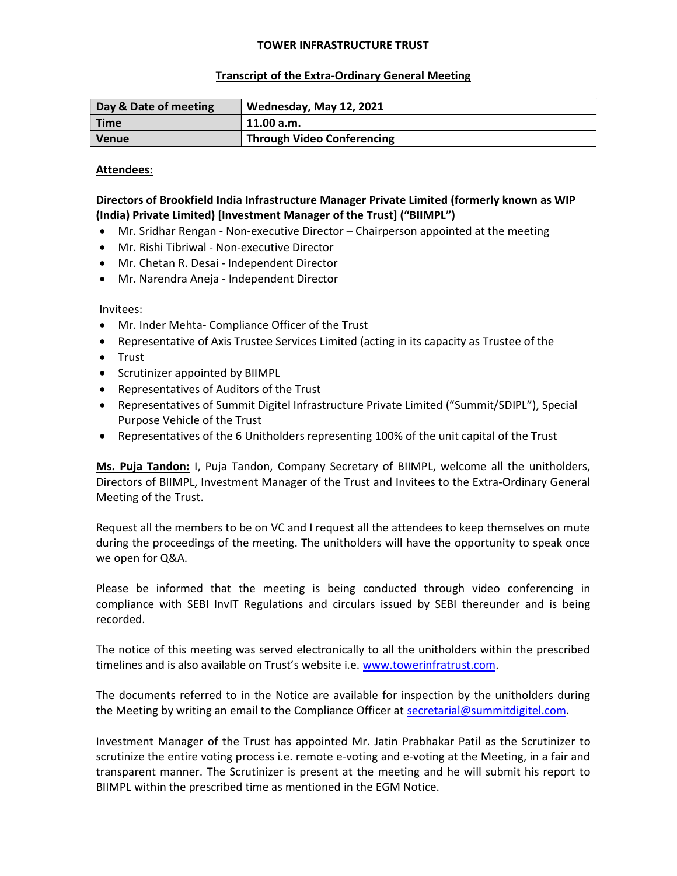## TOWER INFRASTRUCTURE TRUST

## Transcript of the Extra-Ordinary General Meeting

| Day & Date of meeting | Wednesday, May 12, 2021           |
|-----------------------|-----------------------------------|
| <b>Time</b>           | 11.00 a.m.                        |
| <b>Venue</b>          | <b>Through Video Conferencing</b> |

## Attendees:

# Directors of Brookfield India Infrastructure Manager Private Limited (formerly known as WIP (India) Private Limited) [Investment Manager of the Trust] ("BIIMPL")

- Mr. Sridhar Rengan Non-executive Director Chairperson appointed at the meeting
- Mr. Rishi Tibriwal Non-executive Director
- Mr. Chetan R. Desai Independent Director
- Mr. Narendra Aneja Independent Director

Invitees:

- Mr. Inder Mehta- Compliance Officer of the Trust
- Representative of Axis Trustee Services Limited (acting in its capacity as Trustee of the
- Trust
- Scrutinizer appointed by BIIMPL
- Representatives of Auditors of the Trust
- Representatives of Summit Digitel Infrastructure Private Limited ("Summit/SDIPL"), Special Purpose Vehicle of the Trust
- Representatives of the 6 Unitholders representing 100% of the unit capital of the Trust

Ms. Puja Tandon: I, Puja Tandon, Company Secretary of BIIMPL, welcome all the unitholders, Directors of BIIMPL, Investment Manager of the Trust and Invitees to the Extra-Ordinary General Meeting of the Trust.

Request all the members to be on VC and I request all the attendees to keep themselves on mute during the proceedings of the meeting. The unitholders will have the opportunity to speak once we open for Q&A.

Please be informed that the meeting is being conducted through video conferencing in compliance with SEBI InvIT Regulations and circulars issued by SEBI thereunder and is being recorded.

The notice of this meeting was served electronically to all the unitholders within the prescribed timelines and is also available on Trust's website i.e. www.towerinfratrust.com.

The documents referred to in the Notice are available for inspection by the unitholders during the Meeting by writing an email to the Compliance Officer at secretarial@summitdigitel.com.

Investment Manager of the Trust has appointed Mr. Jatin Prabhakar Patil as the Scrutinizer to scrutinize the entire voting process i.e. remote e-voting and e-voting at the Meeting, in a fair and transparent manner. The Scrutinizer is present at the meeting and he will submit his report to BIIMPL within the prescribed time as mentioned in the EGM Notice.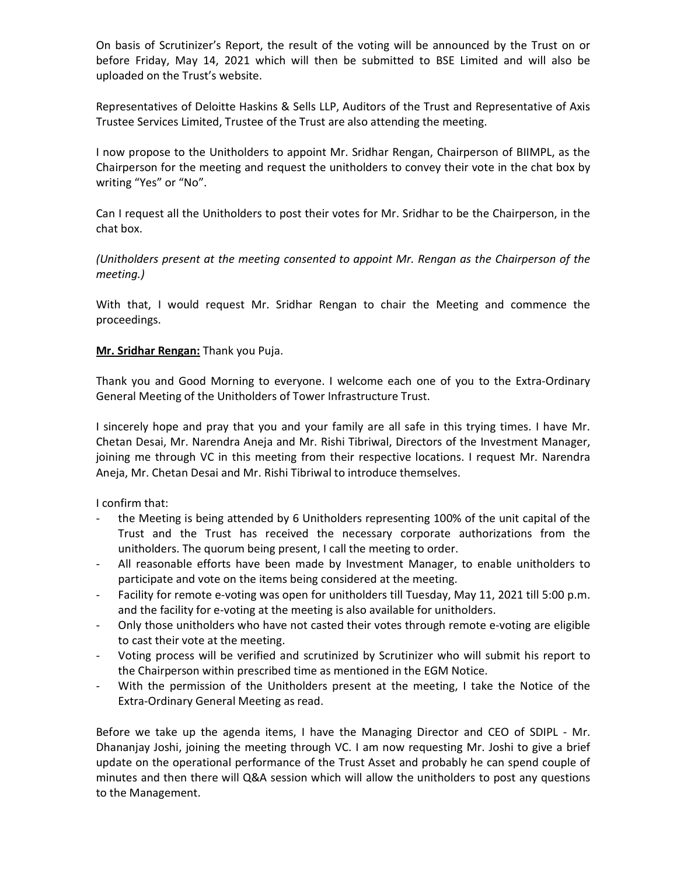On basis of Scrutinizer's Report, the result of the voting will be announced by the Trust on or before Friday, May 14, 2021 which will then be submitted to BSE Limited and will also be uploaded on the Trust's website.

Representatives of Deloitte Haskins & Sells LLP, Auditors of the Trust and Representative of Axis Trustee Services Limited, Trustee of the Trust are also attending the meeting.

I now propose to the Unitholders to appoint Mr. Sridhar Rengan, Chairperson of BIIMPL, as the Chairperson for the meeting and request the unitholders to convey their vote in the chat box by writing "Yes" or "No".

Can I request all the Unitholders to post their votes for Mr. Sridhar to be the Chairperson, in the chat box.

(Unitholders present at the meeting consented to appoint Mr. Rengan as the Chairperson of the meeting.)

With that, I would request Mr. Sridhar Rengan to chair the Meeting and commence the proceedings.

## Mr. Sridhar Rengan: Thank you Puja.

Thank you and Good Morning to everyone. I welcome each one of you to the Extra-Ordinary General Meeting of the Unitholders of Tower Infrastructure Trust.

I sincerely hope and pray that you and your family are all safe in this trying times. I have Mr. Chetan Desai, Mr. Narendra Aneja and Mr. Rishi Tibriwal, Directors of the Investment Manager, joining me through VC in this meeting from their respective locations. I request Mr. Narendra Aneja, Mr. Chetan Desai and Mr. Rishi Tibriwal to introduce themselves.

I confirm that:

- the Meeting is being attended by 6 Unitholders representing 100% of the unit capital of the Trust and the Trust has received the necessary corporate authorizations from the unitholders. The quorum being present, I call the meeting to order.
- All reasonable efforts have been made by Investment Manager, to enable unitholders to participate and vote on the items being considered at the meeting.
- Facility for remote e-voting was open for unitholders till Tuesday, May 11, 2021 till 5:00 p.m. and the facility for e-voting at the meeting is also available for unitholders.
- Only those unitholders who have not casted their votes through remote e-voting are eligible to cast their vote at the meeting.
- Voting process will be verified and scrutinized by Scrutinizer who will submit his report to the Chairperson within prescribed time as mentioned in the EGM Notice.
- With the permission of the Unitholders present at the meeting, I take the Notice of the Extra-Ordinary General Meeting as read.

Before we take up the agenda items, I have the Managing Director and CEO of SDIPL - Mr. Dhananjay Joshi, joining the meeting through VC. I am now requesting Mr. Joshi to give a brief update on the operational performance of the Trust Asset and probably he can spend couple of minutes and then there will Q&A session which will allow the unitholders to post any questions to the Management.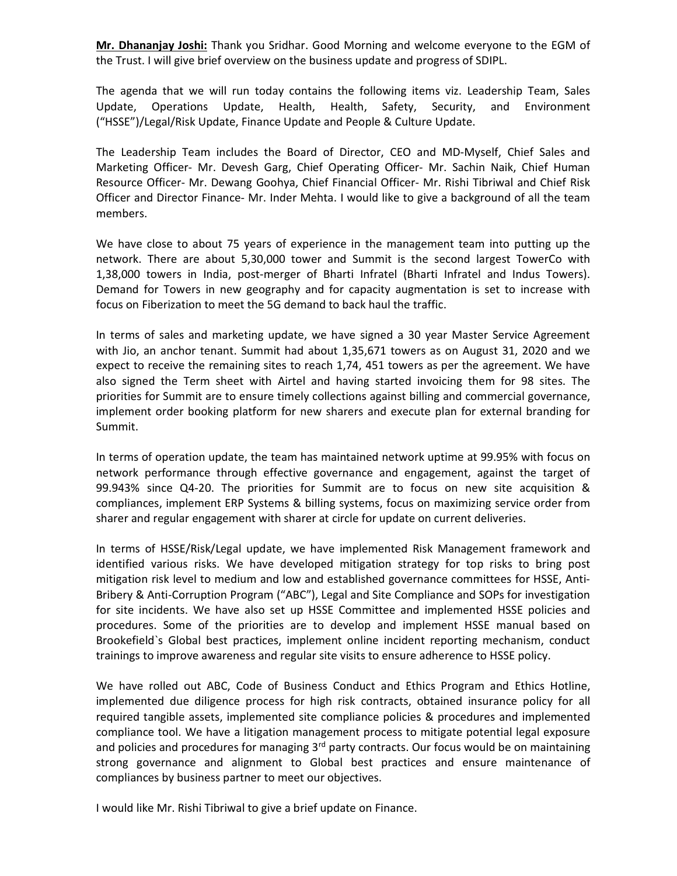Mr. Dhananjay Joshi: Thank you Sridhar. Good Morning and welcome everyone to the EGM of the Trust. I will give brief overview on the business update and progress of SDIPL.

The agenda that we will run today contains the following items viz. Leadership Team, Sales Update, Operations Update, Health, Health, Safety, Security, and Environment ("HSSE")/Legal/Risk Update, Finance Update and People & Culture Update.

The Leadership Team includes the Board of Director, CEO and MD-Myself, Chief Sales and Marketing Officer- Mr. Devesh Garg, Chief Operating Officer- Mr. Sachin Naik, Chief Human Resource Officer- Mr. Dewang Goohya, Chief Financial Officer- Mr. Rishi Tibriwal and Chief Risk Officer and Director Finance- Mr. Inder Mehta. I would like to give a background of all the team members.

We have close to about 75 years of experience in the management team into putting up the network. There are about 5,30,000 tower and Summit is the second largest TowerCo with 1,38,000 towers in India, post-merger of Bharti Infratel (Bharti Infratel and Indus Towers). Demand for Towers in new geography and for capacity augmentation is set to increase with focus on Fiberization to meet the 5G demand to back haul the traffic.

In terms of sales and marketing update, we have signed a 30 year Master Service Agreement with Jio, an anchor tenant. Summit had about 1,35,671 towers as on August 31, 2020 and we expect to receive the remaining sites to reach 1,74, 451 towers as per the agreement. We have also signed the Term sheet with Airtel and having started invoicing them for 98 sites. The priorities for Summit are to ensure timely collections against billing and commercial governance, implement order booking platform for new sharers and execute plan for external branding for Summit.

In terms of operation update, the team has maintained network uptime at 99.95% with focus on network performance through effective governance and engagement, against the target of 99.943% since Q4-20. The priorities for Summit are to focus on new site acquisition & compliances, implement ERP Systems & billing systems, focus on maximizing service order from sharer and regular engagement with sharer at circle for update on current deliveries.

In terms of HSSE/Risk/Legal update, we have implemented Risk Management framework and identified various risks. We have developed mitigation strategy for top risks to bring post mitigation risk level to medium and low and established governance committees for HSSE, Anti-Bribery & Anti-Corruption Program ("ABC"), Legal and Site Compliance and SOPs for investigation for site incidents. We have also set up HSSE Committee and implemented HSSE policies and procedures. Some of the priorities are to develop and implement HSSE manual based on Brookefield`s Global best practices, implement online incident reporting mechanism, conduct trainings to improve awareness and regular site visits to ensure adherence to HSSE policy.

We have rolled out ABC, Code of Business Conduct and Ethics Program and Ethics Hotline, implemented due diligence process for high risk contracts, obtained insurance policy for all required tangible assets, implemented site compliance policies & procedures and implemented compliance tool. We have a litigation management process to mitigate potential legal exposure and policies and procedures for managing  $3<sup>rd</sup>$  party contracts. Our focus would be on maintaining strong governance and alignment to Global best practices and ensure maintenance of compliances by business partner to meet our objectives.

I would like Mr. Rishi Tibriwal to give a brief update on Finance.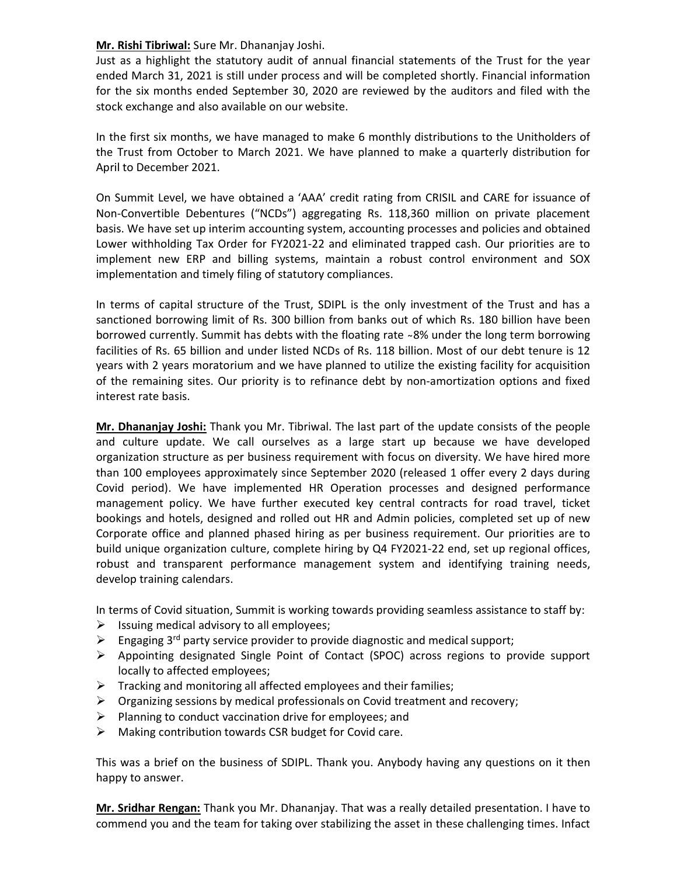## Mr. Rishi Tibriwal: Sure Mr. Dhananjay Joshi.

Just as a highlight the statutory audit of annual financial statements of the Trust for the year ended March 31, 2021 is still under process and will be completed shortly. Financial information for the six months ended September 30, 2020 are reviewed by the auditors and filed with the stock exchange and also available on our website.

In the first six months, we have managed to make 6 monthly distributions to the Unitholders of the Trust from October to March 2021. We have planned to make a quarterly distribution for April to December 2021.

On Summit Level, we have obtained a 'AAA' credit rating from CRISIL and CARE for issuance of Non-Convertible Debentures ("NCDs") aggregating Rs. 118,360 million on private placement basis. We have set up interim accounting system, accounting processes and policies and obtained Lower withholding Tax Order for FY2021-22 and eliminated trapped cash. Our priorities are to implement new ERP and billing systems, maintain a robust control environment and SOX implementation and timely filing of statutory compliances.

In terms of capital structure of the Trust, SDIPL is the only investment of the Trust and has a sanctioned borrowing limit of Rs. 300 billion from banks out of which Rs. 180 billion have been borrowed currently. Summit has debts with the floating rate ~8% under the long term borrowing facilities of Rs. 65 billion and under listed NCDs of Rs. 118 billion. Most of our debt tenure is 12 years with 2 years moratorium and we have planned to utilize the existing facility for acquisition of the remaining sites. Our priority is to refinance debt by non-amortization options and fixed interest rate basis.

Mr. Dhananjay Joshi: Thank you Mr. Tibriwal. The last part of the update consists of the people and culture update. We call ourselves as a large start up because we have developed organization structure as per business requirement with focus on diversity. We have hired more than 100 employees approximately since September 2020 (released 1 offer every 2 days during Covid period). We have implemented HR Operation processes and designed performance management policy. We have further executed key central contracts for road travel, ticket bookings and hotels, designed and rolled out HR and Admin policies, completed set up of new Corporate office and planned phased hiring as per business requirement. Our priorities are to build unique organization culture, complete hiring by Q4 FY2021-22 end, set up regional offices, robust and transparent performance management system and identifying training needs, develop training calendars.

In terms of Covid situation, Summit is working towards providing seamless assistance to staff by:

- $\triangleright$  Issuing medical advisory to all employees;
- Engaging  $3^{rd}$  party service provider to provide diagnostic and medical support;
- $\triangleright$  Appointing designated Single Point of Contact (SPOC) across regions to provide support locally to affected employees;
- $\triangleright$  Tracking and monitoring all affected employees and their families;
- $\triangleright$  Organizing sessions by medical professionals on Covid treatment and recovery;
- $\triangleright$  Planning to conduct vaccination drive for employees; and
- $\triangleright$  Making contribution towards CSR budget for Covid care.

This was a brief on the business of SDIPL. Thank you. Anybody having any questions on it then happy to answer.

Mr. Sridhar Rengan: Thank you Mr. Dhananjay. That was a really detailed presentation. I have to commend you and the team for taking over stabilizing the asset in these challenging times. Infact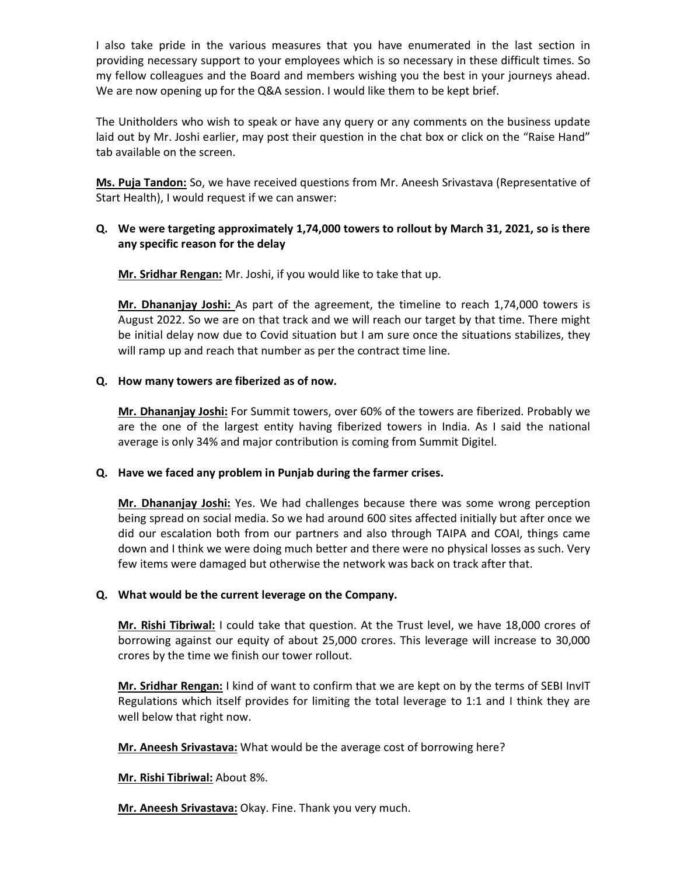I also take pride in the various measures that you have enumerated in the last section in providing necessary support to your employees which is so necessary in these difficult times. So my fellow colleagues and the Board and members wishing you the best in your journeys ahead. We are now opening up for the Q&A session. I would like them to be kept brief.

The Unitholders who wish to speak or have any query or any comments on the business update laid out by Mr. Joshi earlier, may post their question in the chat box or click on the "Raise Hand" tab available on the screen.

Ms. Puja Tandon: So, we have received questions from Mr. Aneesh Srivastava (Representative of Start Health), I would request if we can answer:

# Q. We were targeting approximately 1,74,000 towers to rollout by March 31, 2021, so is there any specific reason for the delay

Mr. Sridhar Rengan: Mr. Joshi, if you would like to take that up.

Mr. Dhananjay Joshi: As part of the agreement, the timeline to reach 1,74,000 towers is August 2022. So we are on that track and we will reach our target by that time. There might be initial delay now due to Covid situation but I am sure once the situations stabilizes, they will ramp up and reach that number as per the contract time line.

# Q. How many towers are fiberized as of now.

Mr. Dhananjay Joshi: For Summit towers, over 60% of the towers are fiberized. Probably we are the one of the largest entity having fiberized towers in India. As I said the national average is only 34% and major contribution is coming from Summit Digitel.

### Q. Have we faced any problem in Punjab during the farmer crises.

Mr. Dhananjay Joshi: Yes. We had challenges because there was some wrong perception being spread on social media. So we had around 600 sites affected initially but after once we did our escalation both from our partners and also through TAIPA and COAI, things came down and I think we were doing much better and there were no physical losses as such. Very few items were damaged but otherwise the network was back on track after that.

### Q. What would be the current leverage on the Company.

Mr. Rishi Tibriwal: I could take that question. At the Trust level, we have 18,000 crores of borrowing against our equity of about 25,000 crores. This leverage will increase to 30,000 crores by the time we finish our tower rollout.

Mr. Sridhar Rengan: I kind of want to confirm that we are kept on by the terms of SEBI InvIT Regulations which itself provides for limiting the total leverage to 1:1 and I think they are well below that right now.

Mr. Aneesh Srivastava: What would be the average cost of borrowing here?

Mr. Rishi Tibriwal: About 8%.

Mr. Aneesh Srivastava: Okay. Fine. Thank you very much.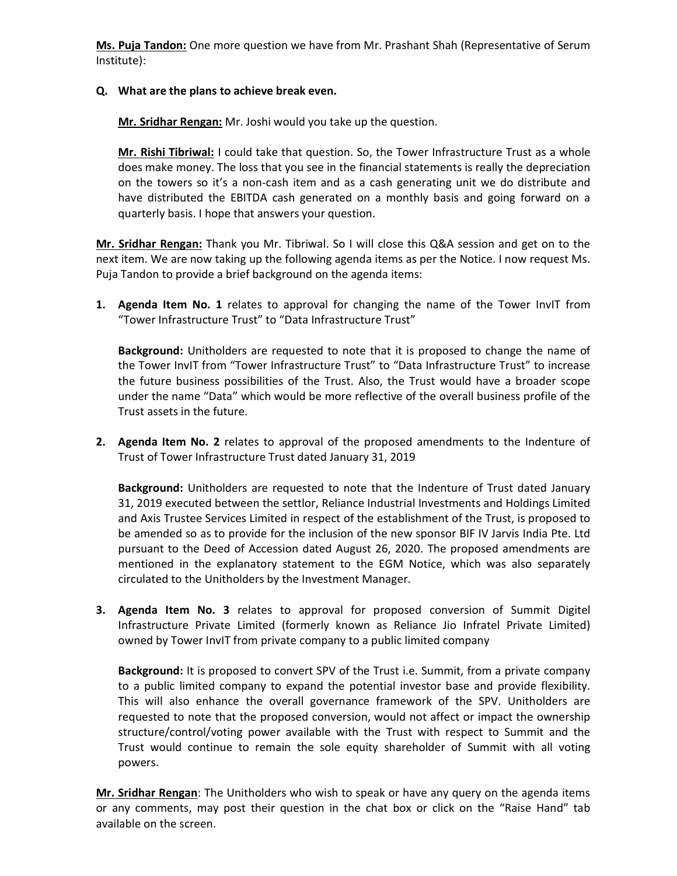Ms. Puja Tandon: One more question we have from Mr. Prashant Shah (Representative of Serum Institute):

## Q. What are the plans to achieve break even.

Mr. Sridhar Rengan: Mr. Joshi would you take up the question.

Mr. Rishi Tibriwal: I could take that question. So, the Tower Infrastructure Trust as a whole does make money. The loss that you see in the financial statements is really the depreciation on the towers so it's a non-cash item and as a cash generating unit we do distribute and have distributed the EBITDA cash generated on a monthly basis and going forward on a quarterly basis. I hope that answers your question.

Mr. Sridhar Rengan: Thank you Mr. Tibriwal. So I will close this Q&A session and get on to the next item. We are now taking up the following agenda items as per the Notice. I now request Ms. Puja Tandon to provide a brief background on the agenda items:

1. Agenda Item No. 1 relates to approval for changing the name of the Tower InvIT from "Tower Infrastructure Trust" to "Data Infrastructure Trust"

Background: Unitholders are requested to note that it is proposed to change the name of the Tower InvIT from "Tower Infrastructure Trust" to "Data Infrastructure Trust" to increase the future business possibilities of the Trust. Also, the Trust would have a broader scope under the name "Data" which would be more reflective of the overall business profile of the Trust assets in the future.

2. Agenda Item No. 2 relates to approval of the proposed amendments to the Indenture of Trust of Tower Infrastructure Trust dated January 31, 2019

Background: Unitholders are requested to note that the Indenture of Trust dated January 31, 2019 executed between the settlor, Reliance Industrial Investments and Holdings Limited and Axis Trustee Services Limited in respect of the establishment of the Trust, is proposed to be amended so as to provide for the inclusion of the new sponsor BIF IV Jarvis India Pte. Ltd pursuant to the Deed of Accession dated August 26, 2020. The proposed amendments are mentioned in the explanatory statement to the EGM Notice, which was also separately circulated to the Unitholders by the Investment Manager.

3. Agenda Item No. 3 relates to approval for proposed conversion of Summit Digitel Infrastructure Private Limited (formerly known as Reliance Jio Infratel Private Limited) owned by Tower InvIT from private company to a public limited company

Background: It is proposed to convert SPV of the Trust i.e. Summit, from a private company to a public limited company to expand the potential investor base and provide flexibility. This will also enhance the overall governance framework of the SPV. Unitholders are requested to note that the proposed conversion, would not affect or impact the ownership structure/control/voting power available with the Trust with respect to Summit and the Trust would continue to remain the sole equity shareholder of Summit with all voting powers.

Mr. Sridhar Rengan: The Unitholders who wish to speak or have any query on the agenda items or any comments, may post their question in the chat box or click on the "Raise Hand" tab available on the screen.